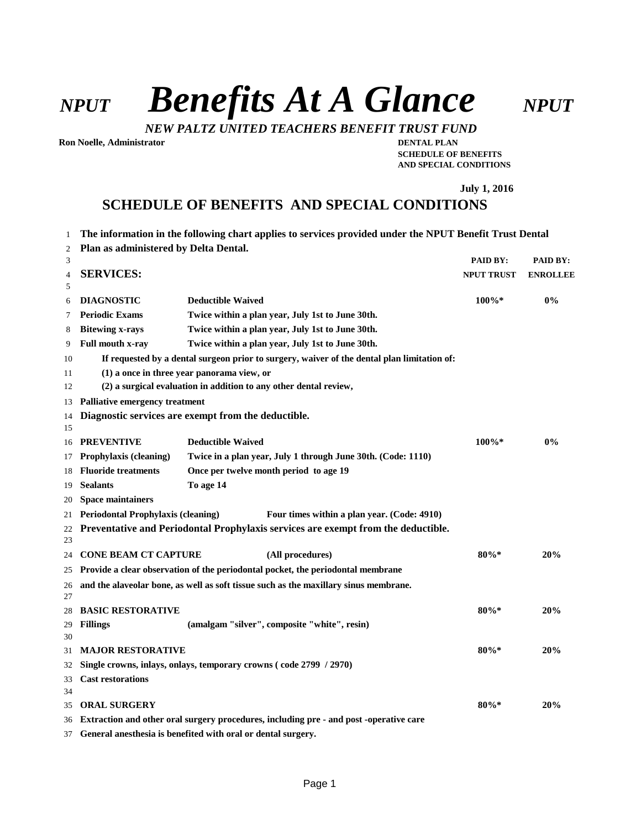*NPUT Benefits At A Glance NPUT*

*NEW PALTZ UNITED TEACHERS BENEFIT TRUST FUND*

**Ron Noelle, Administrator DENTAL PLAN**

**SCHEDULE OF BENEFITS AND SPECIAL CONDITIONS**

**July 1, 2016**

# **SCHEDULE OF BENEFITS AND SPECIAL CONDITIONS**

- **The information in the following chart applies to services provided under the NPUT Benefit Trust Dental**
- **Plan as administered by Delta Dental.**

| 3        |                                                                                             |                          |                                                                                        | PAID BY:          | PAID BY:        |  |  |  |
|----------|---------------------------------------------------------------------------------------------|--------------------------|----------------------------------------------------------------------------------------|-------------------|-----------------|--|--|--|
| 4        | <b>SERVICES:</b>                                                                            |                          |                                                                                        | <b>NPUT TRUST</b> | <b>ENROLLEE</b> |  |  |  |
| 5        |                                                                                             |                          |                                                                                        |                   |                 |  |  |  |
| 6        | <b>DIAGNOSTIC</b>                                                                           | <b>Deductible Waived</b> |                                                                                        | $100\%*$          | 0%              |  |  |  |
| 7        | <b>Periodic Exams</b>                                                                       |                          | Twice within a plan year, July 1st to June 30th.                                       |                   |                 |  |  |  |
| 8        | <b>Bitewing x-rays</b>                                                                      |                          | Twice within a plan year, July 1st to June 30th.                                       |                   |                 |  |  |  |
| 9        | Full mouth x-ray                                                                            |                          | Twice within a plan year, July 1st to June 30th.                                       |                   |                 |  |  |  |
| 10       | If requested by a dental surgeon prior to surgery, waiver of the dental plan limitation of: |                          |                                                                                        |                   |                 |  |  |  |
| 11       | $(1)$ a once in three year panorama view, or                                                |                          |                                                                                        |                   |                 |  |  |  |
| 12       | (2) a surgical evaluation in addition to any other dental review,                           |                          |                                                                                        |                   |                 |  |  |  |
| 13       | <b>Palliative emergency treatment</b>                                                       |                          |                                                                                        |                   |                 |  |  |  |
| 14       | Diagnostic services are exempt from the deductible.                                         |                          |                                                                                        |                   |                 |  |  |  |
| 15       |                                                                                             |                          |                                                                                        |                   |                 |  |  |  |
| 16       | <b>PREVENTIVE</b>                                                                           | <b>Deductible Waived</b> |                                                                                        | $100\%*$          | $0\%$           |  |  |  |
| 17       | Prophylaxis (cleaning)                                                                      |                          | Twice in a plan year, July 1 through June 30th. (Code: 1110)                           |                   |                 |  |  |  |
| 18       | <b>Fluoride treatments</b>                                                                  |                          | Once per twelve month period to age 19                                                 |                   |                 |  |  |  |
| 19       | <b>Sealants</b>                                                                             | To age 14                |                                                                                        |                   |                 |  |  |  |
| 20       | <b>Space maintainers</b>                                                                    |                          |                                                                                        |                   |                 |  |  |  |
| 21       | <b>Periodontal Prophylaxis (cleaning)</b>                                                   |                          | Four times within a plan year. (Code: 4910)                                            |                   |                 |  |  |  |
| 22       |                                                                                             |                          | Preventative and Periodontal Prophylaxis services are exempt from the deductible.      |                   |                 |  |  |  |
| 23       |                                                                                             |                          |                                                                                        |                   |                 |  |  |  |
| 24       | <b>CONE BEAM CT CAPTURE</b>                                                                 |                          | (All procedures)                                                                       | $80\%*$           | 20%             |  |  |  |
| 25       |                                                                                             |                          | Provide a clear observation of the periodontal pocket, the periodontal membrane        |                   |                 |  |  |  |
| 26       |                                                                                             |                          | and the alaveolar bone, as well as soft tissue such as the maxillary sinus membrane.   |                   |                 |  |  |  |
| 27       |                                                                                             |                          |                                                                                        |                   |                 |  |  |  |
| 28       | <b>BASIC RESTORATIVE</b>                                                                    |                          |                                                                                        | 80%*              | 20%             |  |  |  |
| 29       | <b>Fillings</b>                                                                             |                          | (amalgam "silver", composite "white", resin)                                           |                   |                 |  |  |  |
| 30       | <b>MAJOR RESTORATIVE</b>                                                                    |                          |                                                                                        | 80%*              | 20%             |  |  |  |
| 31       |                                                                                             |                          |                                                                                        |                   |                 |  |  |  |
| 32       | Single crowns, inlays, onlays, temporary crowns (code 2799 / 2970)                          |                          |                                                                                        |                   |                 |  |  |  |
| 33<br>34 | <b>Cast restorations</b>                                                                    |                          |                                                                                        |                   |                 |  |  |  |
| 35       | <b>ORAL SURGERY</b>                                                                         |                          |                                                                                        | $80\%*$           | 20%             |  |  |  |
| 36       |                                                                                             |                          | Extraction and other oral surgery procedures, including pre - and post -operative care |                   |                 |  |  |  |
| 37       | General anesthesia is benefited with oral or dental surgery.                                |                          |                                                                                        |                   |                 |  |  |  |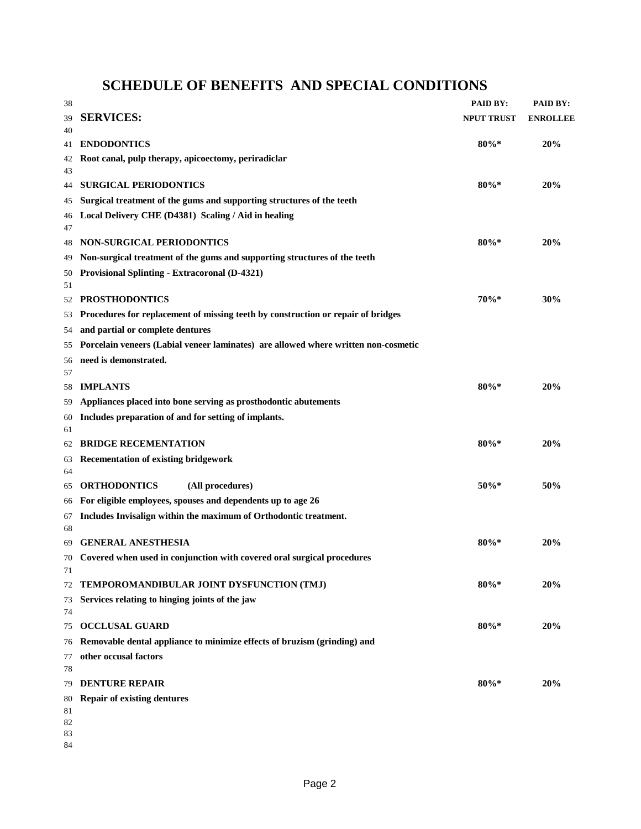**SCHEDULE OF BENEFITS AND SPECIAL CONDITIONS**

| 38       |                                                                                                           | PAID BY:          | PAID BY:        |
|----------|-----------------------------------------------------------------------------------------------------------|-------------------|-----------------|
| 39       | <b>SERVICES:</b>                                                                                          | <b>NPUT TRUST</b> | <b>ENROLLEE</b> |
| 40       |                                                                                                           |                   |                 |
| 41       | <b>ENDODONTICS</b>                                                                                        | $80\%*$           | 20%             |
| 42<br>43 | Root canal, pulp therapy, apicoectomy, periradiclar                                                       |                   |                 |
| 44       | <b>SURGICAL PERIODONTICS</b>                                                                              | $80\%*$           | 20%             |
| 45       | Surgical treatment of the gums and supporting structures of the teeth                                     |                   |                 |
| 46       | Local Delivery CHE (D4381) Scaling / Aid in healing                                                       |                   |                 |
| 47       |                                                                                                           |                   |                 |
| 48       | <b>NON-SURGICAL PERIODONTICS</b>                                                                          | $80\%*$           | 20%             |
| 49       | Non-surgical treatment of the gums and supporting structures of the teeth                                 |                   |                 |
| 50       | <b>Provisional Splinting - Extracoronal (D-4321)</b>                                                      |                   |                 |
| 51       |                                                                                                           | $70%$ *           | 30%             |
| 52       | <b>PROSTHODONTICS</b><br>Procedures for replacement of missing teeth by construction or repair of bridges |                   |                 |
| 53       | and partial or complete dentures                                                                          |                   |                 |
| 54<br>55 | Porcelain veneers (Labial veneer laminates) are allowed where written non-cosmetic                        |                   |                 |
| 56       | need is demonstrated.                                                                                     |                   |                 |
| 57       |                                                                                                           |                   |                 |
| 58       | <b>IMPLANTS</b>                                                                                           | $80\% *$          | 20%             |
| 59       | Appliances placed into bone serving as prosthodontic abutements                                           |                   |                 |
| 60       | Includes preparation of and for setting of implants.                                                      |                   |                 |
| 61       |                                                                                                           |                   |                 |
| 62       | <b>BRIDGE RECEMENTATION</b>                                                                               | $80\%*$           | 20%             |
| 63       | <b>Recementation of existing bridgework</b>                                                               |                   |                 |
| 64<br>65 | <b>ORTHODONTICS</b><br>(All procedures)                                                                   | 50%*              | 50%             |
| 66       | For eligible employees, spouses and dependents up to age 26                                               |                   |                 |
| 67       | Includes Invisalign within the maximum of Orthodontic treatment.                                          |                   |                 |
| 68       |                                                                                                           |                   |                 |
| 69       | <b>GENERAL ANESTHESIA</b>                                                                                 | $80\%*$           | 20%             |
| 70       | Covered when used in conjunction with covered oral surgical procedures                                    |                   |                 |
| 71       |                                                                                                           |                   |                 |
| 72       | TEMPOROMANDIBULAR JOINT DYSFUNCTION (TMJ)                                                                 | $80\%*$           | 20%             |
| 73       | Services relating to hinging joints of the jaw                                                            |                   |                 |
| 74<br>75 | <b>OCCLUSAL GUARD</b>                                                                                     | $80\% *$          | 20%             |
| 76       | Removable dental appliance to minimize effects of bruzism (grinding) and                                  |                   |                 |
| 77       | other occusal factors                                                                                     |                   |                 |
| 78       |                                                                                                           |                   |                 |
| 79       | <b>DENTURE REPAIR</b>                                                                                     | $80\% *$          | 20%             |
| 80       | <b>Repair of existing dentures</b>                                                                        |                   |                 |
| 81       |                                                                                                           |                   |                 |
| 82<br>83 |                                                                                                           |                   |                 |
| 84       |                                                                                                           |                   |                 |